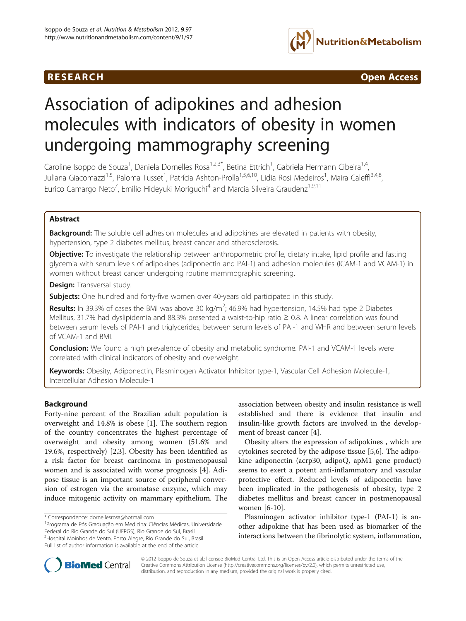## **RESEARCH RESEARCH** *CONSERVERSEARCH CODERNESS <b>CODERNESS*



# Association of adipokines and adhesion molecules with indicators of obesity in women undergoing mammography screening

Caroline Isoppo de Souza<sup>1</sup>, Daniela Dornelles Rosa<sup>1,2,3\*</sup>, Betina Ettrich<sup>1</sup>, Gabriela Hermann Cibeira<sup>1,4</sup>, Juliana Giacomazzi<sup>1,5</sup>, Paloma Tusset<sup>1</sup>, Patrícia Ashton-Prolla<sup>1,5,6,10</sup>, Lidia Rosi Medeiros<sup>1</sup>, Maira Caleffi<sup>3,4,8</sup>, Eurico Camargo Neto<sup>7</sup>, Emilio Hideyuki Moriguchi<sup>4</sup> and Marcia Silveira Graudenz<sup>1,9,11</sup>

## Abstract

Background: The soluble cell adhesion molecules and adipokines are elevated in patients with obesity, hypertension, type 2 diabetes mellitus, breast cancer and atherosclerosis.

**Objective:** To investigate the relationship between anthropometric profile, dietary intake, lipid profile and fasting glycemia with serum levels of adipokines (adiponectin and PAI-1) and adhesion molecules (ICAM-1 and VCAM-1) in women without breast cancer undergoing routine mammographic screening.

Design: Transversal study.

Subjects: One hundred and forty-five women over 40-years old participated in this study.

Results: In 39.3% of cases the BMI was above 30 kg/m<sup>2</sup>; 46.9% had hypertension, 14.5% had type 2 Diabetes Mellitus, 31.7% had dyslipidemia and 88.3% presented a waist-to-hip ratio ≥ 0.8. A linear correlation was found between serum levels of PAI-1 and triglycerides, between serum levels of PAI-1 and WHR and between serum levels of VCAM-1 and BMI.

Conclusion: We found a high prevalence of obesity and metabolic syndrome. PAI-1 and VCAM-1 levels were correlated with clinical indicators of obesity and overweight.

Keywords: Obesity, Adiponectin, Plasminogen Activator Inhibitor type-1, Vascular Cell Adhesion Molecule-1, Intercellular Adhesion Molecule-1

#### Background

Forty-nine percent of the Brazilian adult population is overweight and 14.8% is obese [[1\]](#page-4-0). The southern region of the country concentrates the highest percentage of overweight and obesity among women (51.6% and 19.6%, respectively) [[2,3\]](#page-4-0). Obesity has been identified as a risk factor for breast carcinoma in postmenopausal women and is associated with worse prognosis [\[4](#page-4-0)]. Adipose tissue is an important source of peripheral conversion of estrogen via the aromatase enzyme, which may induce mitogenic activity on mammary epithelium. The

association between obesity and insulin resistance is well established and there is evidence that insulin and insulin-like growth factors are involved in the development of breast cancer [\[4](#page-4-0)].

Obesity alters the expression of adipokines , which are cytokines secreted by the adipose tissue [\[5,6](#page-4-0)]. The adipokine adiponectin (acrp30, adipoQ, apM1 gene product) seems to exert a potent anti-inflammatory and vascular protective effect. Reduced levels of adiponectin have been implicated in the pathogenesis of obesity, type 2 diabetes mellitus and breast cancer in postmenopausal women [[6-10](#page-4-0)].

Plasminogen activator inhibitor type-1 (PAI-1) is another adipokine that has been used as biomarker of the interactions between the fibrinolytic system, inflammation,



© 2012 Isoppo de Souza et al.; licensee BioMed Central Ltd. This is an Open Access article distributed under the terms of the Creative Commons Attribution License (<http://creativecommons.org/licenses/by/2.0>), which permits unrestricted use, distribution, and reproduction in any medium, provided the original work is properly cited.

<sup>\*</sup> Correspondence: [dornellesrosa@hotmail.com](mailto:dornellesrosa@hotmail.com) <sup>1</sup>

Programa de Pós Graduação em Medicina: Ciências Médicas, Universidade Federal do Rio Grande do Sul (UFRGS), Rio Grande do Sul, Brasil <sup>2</sup>Hospital Moinhos de Vento, Porto Alegre, Rio Grande do Sul, Brasil Full list of author information is available at the end of the article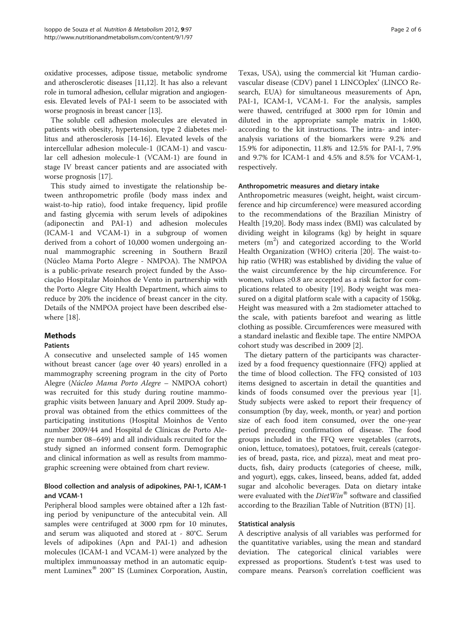oxidative processes, adipose tissue, metabolic syndrome and atherosclerotic diseases [\[11,12\]](#page-4-0). It has also a relevant role in tumoral adhesion, cellular migration and angiogenesis. Elevated levels of PAI-1 seem to be associated with worse prognosis in breast cancer [[13](#page-4-0)].

The soluble cell adhesion molecules are elevated in patients with obesity, hypertension, type 2 diabetes mellitus and atherosclerosis [\[14](#page-4-0)-[16](#page-4-0)]. Elevated levels of the intercellular adhesion molecule-1 (ICAM-1) and vascular cell adhesion molecule-1 (VCAM-1) are found in stage IV breast cancer patients and are associated with worse prognosis [[17\]](#page-4-0).

This study aimed to investigate the relationship between anthropometric profile (body mass index and waist-to-hip ratio), food intake frequency, lipid profile and fasting glycemia with serum levels of adipokines (adiponectin and PAI-1) and adhesion molecules (ICAM-1 and VCAM-1) in a subgroup of women derived from a cohort of 10,000 women undergoing annual mammographic screening in Southern Brazil (Núcleo Mama Porto Alegre - NMPOA). The NMPOA is a public-private research project funded by the Associação Hospitalar Moinhos de Vento in partnership with the Porto Alegre City Health Department, which aims to reduce by 20% the incidence of breast cancer in the city. Details of the NMPOA project have been described elsewhere [\[18](#page-4-0)].

## Methods

## Patients

A consecutive and unselected sample of 145 women without breast cancer (age over 40 years) enrolled in a mammography screening program in the city of Porto Alegre (Núcleo Mama Porto Alegre – NMPOA cohort) was recruited for this study during routine mammographic visits between January and April 2009. Study approval was obtained from the ethics committees of the participating institutions (Hospital Moinhos de Vento number 2009/44 and Hospital de Clínicas de Porto Alegre number 08–649) and all individuals recruited for the study signed an informed consent form. Demographic and clinical information as well as results from mammographic screening were obtained from chart review.

## Blood collection and analysis of adipokines, PAI-1, ICAM-1 and VCAM-1

Peripheral blood samples were obtained after a 12h fasting period by venipuncture of the antecubital vein. All samples were centrifuged at 3000 rpm for 10 minutes, and serum was aliquoted and stored at - 80°C. Serum levels of adipokines (Apn and PAI-1) and adhesion molecules (ICAM-1 and VCAM-1) were analyzed by the multiplex immunoassay method in an automatic equipment Luminex<sup>®</sup> 200<sup>™</sup> IS (Luminex Corporation, Austin,

Texas, USA), using the commercial kit 'Human cardiovascular disease (CDV) panel 1 LINCOplex' (LINCO Research, EUA) for simultaneous measurements of Apn, PAI-1, ICAM-1, VCAM-1. For the analysis, samples were thawed, centrifuged at 3000 rpm for 10min and diluted in the appropriate sample matrix in 1:400, according to the kit instructions. The intra- and interanalysis variations of the biomarkers were 9.2% and 15.9% for adiponectin, 11.8% and 12.5% for PAI-1, 7.9% and 9.7% for ICAM-1 and 4.5% and 8.5% for VCAM-1, respectively.

#### Anthropometric measures and dietary intake

Anthropometric measures (weight, height, waist circumference and hip circumference) were measured according to the recommendations of the Brazilian Ministry of Health [\[19,20\]](#page-5-0). Body mass index (BMI) was calculated by dividing weight in kilograms (kg) by height in square meters (m<sup>2</sup>) and categorized according to the World Health Organization (WHO) criteria [[20\]](#page-5-0). The waist-tohip ratio (WHR) was established by dividing the value of the waist circumference by the hip circumference. For women, values ≥0.8 are accepted as a risk factor for complications related to obesity [[19\]](#page-5-0). Body weight was measured on a digital platform scale with a capacity of 150kg. Height was measured with a 2m stadiometer attached to the scale, with patients barefoot and wearing as little clothing as possible. Circumferences were measured with a standard inelastic and flexible tape. The entire NMPOA cohort study was described in 2009 [\[2\]](#page-4-0).

The dietary pattern of the participants was characterized by a food frequency questionnaire (FFQ) applied at the time of blood collection. The FFQ consisted of 103 items designed to ascertain in detail the quantities and kinds of foods consumed over the previous year [\[1](#page-4-0)]. Study subjects were asked to report their frequency of consumption (by day, week, month, or year) and portion size of each food item consumed, over the one-year period preceding confirmation of disease. The food groups included in the FFQ were vegetables (carrots, onion, lettuce, tomatoes), potatoes, fruit, cereals (categories of bread, pasta, rice, and pizza), meat and meat products, fish, dairy products (categories of cheese, milk, and yogurt), eggs, cakes, linseed, beans, added fat, added sugar and alcoholic beverages. Data on dietary intake were evaluated with the  $DietWin^{\circledast}$  software and classified according to the Brazilian Table of Nutrition (BTN) [[1](#page-4-0)].

#### Statistical analysis

A descriptive analysis of all variables was performed for the quantitative variables, using the mean and standard deviation. The categorical clinical variables were expressed as proportions. Student's t-test was used to compare means. Pearson's correlation coefficient was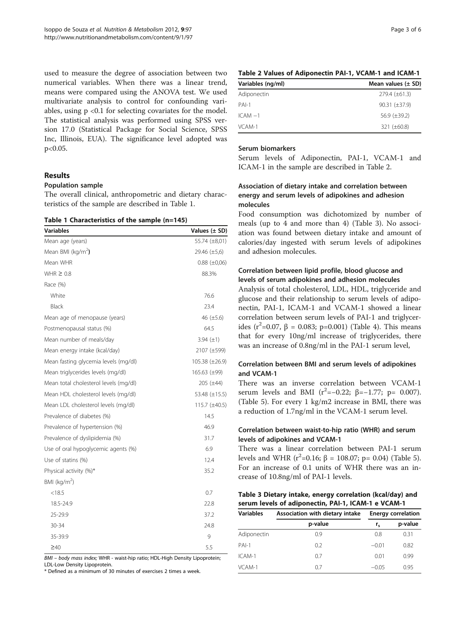used to measure the degree of association between two numerical variables. When there was a linear trend, means were compared using the ANOVA test. We used multivariate analysis to control for confounding variables, using  $p \le 0.1$  for selecting covariates for the model. The statistical analysis was performed using SPSS version 17.0 (Statistical Package for Social Science, SPSS Inc, Illinois, EUA). The significance level adopted was p<0.05.

#### Results

#### Population sample

The overall clinical, anthropometric and dietary characteristics of the sample are described in Table 1.

#### Table 1 Characteristics of the sample (n=145)

| <b>Variables</b>                      | Values $(\pm$ SD)   |
|---------------------------------------|---------------------|
| Mean age (years)                      | 55.74 (±8,01)       |
| Mean BMI ( $kg/m2$ )                  | $29.46 \ (\pm 5.6)$ |
| Mean WHR                              | $0.88 \ (\pm 0.06)$ |
| WHR $\geq 0.8$                        | 88.3%               |
| Race (%)                              |                     |
| White                                 | 76.6                |
| Black                                 | 23.4                |
| Mean age of menopause (years)         | 46 $(\pm 5.6)$      |
| Postmenopausal status (%)             | 64.5                |
| Mean number of meals/day              | 3.94 $(\pm 1)$      |
| Mean energy intake (kcal/day)         | 2107 (±599)         |
| Mean fasting glycemia levels (mg/dl)  | 105.38 (±26.9)      |
| Mean triglycerides levels (mg/dl)     | $165.63 \ (\pm 99)$ |
| Mean total cholesterol levels (mg/dl) | $205 (\pm 44)$      |
| Mean HDL cholesterol levels (mg/dl)   | 53.48 (±15.5)       |
| Mean LDL cholesterol levels (mg/dl)   | 115.7 (±40.5)       |
| Prevalence of diabetes (%)            | 14.5                |
| Prevalence of hypertension (%)        | 46.9                |
| Prevalence of dyslipidemia (%)        | 31.7                |
| Use of oral hypoglycemic agents (%)   | 6.9                 |
| Use of statins (%)                    | 12.4                |
| Physical activity (%)*                | 35.2                |
| BMI ( $kg/m2$ )                       |                     |
| < 18.5                                | 0.7                 |
| 18.5-24.9                             | 22.8                |
| 25-29.9                               | 37.2                |
| 30-34                                 | 24.8                |
| 35-39.9                               | 9                   |
| $\geq 40$                             | 5.5                 |

BMI – body mass index; WHR - waist-hip ratio; HDL-High Density Lipoprotein; LDL-Low Density Lipoprotein.

\* Defined as a minimum of 30 minutes of exercises 2 times a week.

|  |  |  | Table 2 Values of Adiponectin PAI-1, VCAM-1 and ICAM-1 |
|--|--|--|--------------------------------------------------------|
|  |  |  |                                                        |

| Variables (ng/ml) | Mean values $(\pm$ SD) |
|-------------------|------------------------|
| Adiponectin       | $279.4 \ (\pm 61.3)$   |
| $PAI-1$           | $90.31 (\pm 37.9)$     |
| $ICAM -1$         | 56.9 $(\pm 39.2)$      |
| VCAM-1            | 321 $(\pm 60.8)$       |

#### Serum biomarkers

Serum levels of Adiponectin, PAI-1, VCAM-1 and ICAM-1 in the sample are described in Table 2.

## Association of dietary intake and correlation between energy and serum levels of adipokines and adhesion molecules

Food consumption was dichotomized by number of meals (up to 4 and more than 4) (Table 3). No association was found between dietary intake and amount of calories/day ingested with serum levels of adipokines and adhesion molecules.

## Correlation between lipid profile, blood glucose and levels of serum adipokines and adhesion molecules

Analysis of total cholesterol, LDL, HDL, triglyceride and glucose and their relationship to serum levels of adiponectin, PAI-1, ICAM-1 and VCAM-1 showed a linear correlation between serum levels of PAI-1 and triglycer-ides (r<sup>2</sup>=0.07, β = 0.083; p=0.001) (Table [4\)](#page-3-0). This means that for every 10ng/ml increase of triglycerides, there was an increase of 0.8ng/ml in the PAI-1 serum level,

## Correlation between BMI and serum levels of adipokines and VCAM-1

There was an inverse correlation between VCAM-1 serum levels and BMI ( $r^2 = -0.22$ ;  $\beta = -1.77$ ; p= 0.007). (Table [5](#page-3-0)). For every 1 kg/m2 increase in BMI, there was a reduction of 1.7ng/ml in the VCAM-1 serum level.

## Correlation between waist-to-hip ratio (WHR) and serum levels of adipokines and VCAM-1

There was a linear correlation between PAI-1 serum levels and WHR ( $r^2$ =0.16; β = 108.07; p= 0.04) (Table [5](#page-3-0)). For an increase of 0.1 units of WHR there was an increase of 10.8ng/ml of PAI-1 levels.

| Table 3 Dietary intake, energy correlation (kcal/day) and |  |
|-----------------------------------------------------------|--|
| serum levels of adiponectin, PAI-1, ICAM-1 e VCAM-1       |  |

| <b>Variables</b> | Association with dietary intake | <b>Energy correlation</b> |         |  |
|------------------|---------------------------------|---------------------------|---------|--|
|                  | p-value                         | r.                        | p-value |  |
| Adiponectin      | 0.9                             | 0.8                       | 0.31    |  |
| $PAI-1$          | 0.2                             | $-0.01$                   | 0.82    |  |
| $ICAM-1$         | 0.7                             | 0.01                      | 0.99    |  |
| VCAM-1           | 0.7                             | $-0.05$                   | 0.95    |  |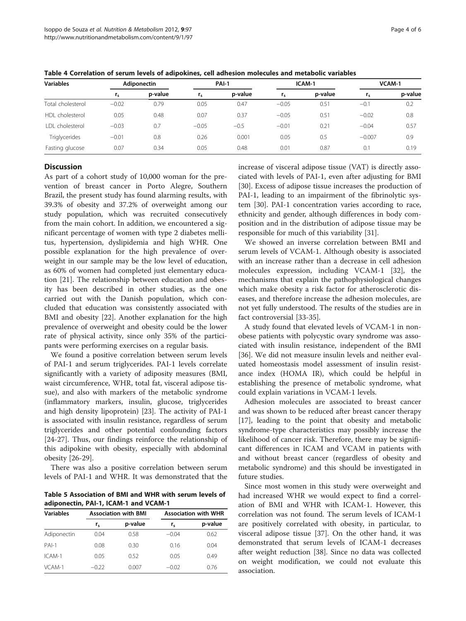| Variables         | <b>Adiponectin</b> |         | <b>PAI-1</b> |         | ICAM-1  |         | VCAM-1   |         |
|-------------------|--------------------|---------|--------------|---------|---------|---------|----------|---------|
|                   | $r_{s}$            | p-value | $r_{s}$      | p-value | $r_{s}$ | p-value | $r_{s}$  | p-value |
| Total cholesterol | $-0.02$            | 0.79    | 0.05         | 0.47    | $-0.05$ | 0.51    | $-0.1$   | 0.2     |
| HDL cholesterol   | 0.05               | 0.48    | 0.07         | 0.37    | $-0.05$ | 0.51    | $-0.02$  | 0.8     |
| LDL cholesterol   | $-0.03$            | 0.7     | $-0.05$      | $-0.5$  | $-0.01$ | 0.21    | $-0.04$  | 0.57    |
| Triglycerides     | $-0.01$            | 0.8     | 0.26         | 0.001   | 0.05    | 0.5     | $-0.007$ | 0.9     |
| Fasting glucose   | 0.07               | 0.34    | 0.05         | 0.48    | 0.01    | 0.87    | 0.1      | 0.19    |

<span id="page-3-0"></span>Table 4 Correlation of serum levels of adipokines, cell adhesion molecules and metabolic variables

#### **Discussion**

As part of a cohort study of 10,000 woman for the prevention of breast cancer in Porto Alegre, Southern Brazil, the present study has found alarming results, with 39.3% of obesity and 37.2% of overweight among our study population, which was recruited consecutively from the main cohort. In addition, we encountered a significant percentage of women with type 2 diabetes mellitus, hypertension, dyslipidemia and high WHR. One possible explanation for the high prevalence of overweight in our sample may be the low level of education, as 60% of women had completed just elementary education [[21](#page-5-0)]. The relationship between education and obesity has been described in other studies, as the one carried out with the Danish population, which concluded that education was consistently associated with BMI and obesity [[22\]](#page-5-0). Another explanation for the high prevalence of overweight and obesity could be the lower rate of physical activity, since only 35% of the participants were performing exercises on a regular basis.

We found a positive correlation between serum levels of PAI-1 and serum triglycerides. PAI-1 levels correlate significantly with a variety of adiposity measures (BMI, waist circumference, WHR, total fat, visceral adipose tissue), and also with markers of the metabolic syndrome (inflammatory markers, insulin, glucose, triglycerides and high density lipoprotein) [\[23\]](#page-5-0). The activity of PAI-1 is associated with insulin resistance, regardless of serum triglycerides and other potential confounding factors [[24-27](#page-5-0)]. Thus, our findings reinforce the relationship of this adipokine with obesity, especially with abdominal obesity [\[26](#page-5-0)-[29\]](#page-5-0).

There was also a positive correlation between serum levels of PAI-1 and WHR. It was demonstrated that the

Table 5 Association of BMI and WHR with serum levels of adiponectin, PAI-1, ICAM-1 and VCAM-1

| <b>Variables</b> |         | <b>Association with BMI</b> | <b>Association with WHR</b> |         |  |
|------------------|---------|-----------------------------|-----------------------------|---------|--|
|                  | r,      | p-value                     | $r_{s}$                     | p-value |  |
| Adiponectin      | 0.04    | 0.58                        | $-0.04$                     | 0.62    |  |
| $PAI-1$          | 0.08    | 0.30                        | 0.16                        | 0.04    |  |
| ICAM-1           | 0.05    | 0.52                        | 0.05                        | 0.49    |  |
| VCAM-1           | $-0.22$ | 0.007                       | $-0.02$                     | 0.76    |  |

increase of visceral adipose tissue (VAT) is directly associated with levels of PAI-1, even after adjusting for BMI [[30\]](#page-5-0). Excess of adipose tissue increases the production of PAI-1, leading to an impairment of the fibrinolytic system [[30\]](#page-5-0). PAI-1 concentration varies according to race, ethnicity and gender, although differences in body composition and in the distribution of adipose tissue may be responsible for much of this variability [\[31\]](#page-5-0).

We showed an inverse correlation between BMI and serum levels of VCAM-1. Although obesity is associated with an increase rather than a decrease in cell adhesion molecules expression, including VCAM-1 [[32](#page-5-0)], the mechanisms that explain the pathophysiological changes which make obesity a risk factor for atherosclerotic diseases, and therefore increase the adhesion molecules, are not yet fully understood. The results of the studies are in fact controversial [\[33](#page-5-0)-[35\]](#page-5-0).

A study found that elevated levels of VCAM-1 in nonobese patients with polycystic ovary syndrome was associated with insulin resistance, independent of the BMI [[36\]](#page-5-0). We did not measure insulin levels and neither evaluated homeostasis model assessment of insulin resistance index (HOMA IR), which could be helpful in establishing the presence of metabolic syndrome, what could explain variations in VCAM-1 levels.

Adhesion molecules are associated to breast cancer and was shown to be reduced after breast cancer therapy [[17\]](#page-4-0), leading to the point that obesity and metabolic syndrome-type characteristics may possibly increase the likelihood of cancer risk. Therefore, there may be significant differences in ICAM and VCAM in patients with and without breast cancer (regardless of obesity and metabolic syndrome) and this should be investigated in future studies.

Since most women in this study were overweight and had increased WHR we would expect to find a correlation of BMI and WHR with ICAM-1. However, this correlation was not found. The serum levels of ICAM-1 are positively correlated with obesity, in particular, to visceral adipose tissue [\[37](#page-5-0)]. On the other hand, it was demonstrated that serum levels of ICAM-1 decreases after weight reduction [[38\]](#page-5-0). Since no data was collected on weight modification, we could not evaluate this association.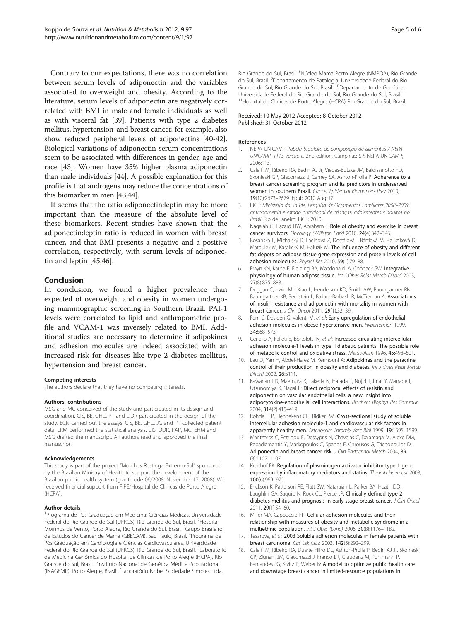<span id="page-4-0"></span>Contrary to our expectations, there was no correlation between serum levels of adiponectin and the variables associated to overweight and obesity. According to the literature, serum levels of adiponectin are negatively correlated with BMI in male and female individuals as well as with visceral fat [\[39\]](#page-5-0). Patients with type 2 diabetes mellitus, hypertension' and breast cancer, for example, also show reduced peripheral levels of adiponectins [[40](#page-5-0)-[42](#page-5-0)]. Biological variations of adiponectin serum concentrations seem to be associated with differences in gender, age and race [[43](#page-5-0)]. Women have 35% higher plasma adiponectin than male individuals [\[44\]](#page-5-0). A possible explanation for this profile is that androgens may reduce the concentrations of this biomarker in men [[43,44\]](#page-5-0).

It seems that the ratio adiponectin:leptin may be more important than the measure of the absolute level of these biomarkers. Recent studies have shown that the adiponectin:leptin ratio is reduced in women with breast cancer, and that BMI presents a negative and a positive correlation, respectively, with serum levels of adiponectin and leptin [\[45,46\]](#page-5-0).

#### Conclusion

In conclusion, we found a higher prevalence than expected of overweight and obesity in women undergoing mammographic screening in Southern Brazil. PAI-1 levels were correlated to lipid and anthropometric profile and VCAM-1 was inversely related to BMI. Additional studies are necessary to determine if adipokines and adhesion molecules are indeed associated with an increased risk for diseases like type 2 diabetes mellitus, hypertension and breast cancer.

#### Competing interests

The authors declare that they have no competing interests.

#### Authors' contributions

MSG and MC conceived of the study and participated in its design and coordination. CIS, BE, GHC, PT and DDR participated in the design of the study. ECN carried out the assays. CIS, BE, GHC, JG and PT collected patient data. LRM performed the statistical analysis. CIS, DDR, PAP, MC, EHM and MSG drafted the manuscript. All authors read and approved the final manuscript.

#### Acknowledgements

This study is part of the project "Moinhos Restinga Extremo-Sul" sponsored by the Brazilian Ministry of Health to support the development of the Brazilian public health system (grant code 06/2008, November 17, 2008). We received financial support from FIPE/Hospital de Clinicas de Porto Alegre (HCPA).

#### Author details

1 Programa de Pós Graduação em Medicina: Ciências Médicas, Universidade Federal do Rio Grande do Sul (UFRGS), Rio Grande do Sul, Brasil. <sup>2</sup>Hospital Moinhos de Vento, Porto Alegre, Rio Grande do Sul, Brasil. <sup>3</sup>Grupo Brasileiro de Estudos do Câncer de Mama (GBECAM), São Paulo, Brasil. <sup>4</sup>Programa de Pós Graduação em Cardiologia e Ciências Cardiovasculares, Universidade Federal do Rio Grande do Sul (UFRGS), Rio Grande do Sul, Brasil. <sup>5</sup>Laboratório de Medicina Genômica do Hospital de Clínicas de Porto Alegre (HCPA), Rio Grande do Sul, Brasil. <sup>6</sup>Instituto Nacional de Genética Médica Populacional (INAGEMP), Porto Alegre, Brasil. <sup>7</sup> Laboratório Nobel Sociedade Simples Ltda,

Rio Grande do Sul, Brasil. <sup>8</sup>Núcleo Mama Porto Alegre (NMPOA), Rio Grande do Sul, Brasil. <sup>9</sup>Departamento de Patologia, Universidade Federal do Rio Grande do Sul, Rio Grande do Sul, Brasil. 10Departamento de Genética, Universidade Federal do Rio Grande do Sul, Rio Grande do Sul, Brasil. <sup>11</sup>Hospital de Clinicas de Porto Alegre (HCPA) Rio Grande do Sul, Brazil.

#### Received: 10 May 2012 Accepted: 8 October 2012 Published: 31 October 2012

#### References

- 1. NEPA-UNICAMP: Tabela brasileira de composição de alimentos / NEPA-UNICAMP- T113 Versão II. 2nd edition. Campinas: SP: NEPA-UNICAMP; 2006:113.
- 2. Caleffi M, Ribeiro RA, Bedin AJ Jr, Viegas-Butzke JM, Baldisserotto FD, Skonieski GP, Giacomazzi J, Camey SA, Ashton-Prolla P: Adherence to a breast cancer screening program and its predictors in underserved women in southern Brazil. Cancer Epidemiol Biomarkers Prev 2010. 19(10):2673–2679. Epub 2010 Aug 17.
- 3. IBGE: Ministério da Saúde. Pesquisa de Orçamentos Familiares 2008–2009: antropometria e estado nutricional de crianças, adolescentes e adultos no Brasil. Rio de Janeiro: IBGE; 2010.
- 4. Nagaiah G, Hazard HW, Abraham J: Role of obesity and exercise in breast cancer survivors. Oncology (Williston Park) 2010, 24(4):342–346.
- 5. Bosanská L, Michalský D, Lacinová Z, Dostálová I, Bártlová M, Haluzíková D, Matoulek M, Kasalický M, Haluzík M: The influence of obesity and different fat depots on adipose tissue gene expression and protein levels of cell adhesion molecules. Physiol Res 2010, 59(1):79–88.
- 6. Frayn KN, Karpe F, Fielding BA, Macdonald IA, Coppack SW: Integrative physiology of human adipose tissue. Int J Obes Relat Metab Disord 2003, 27(8):875–888.
- 7. Duggan C, Irwin ML, Xiao L, Henderson KD, Smith AW, Baumgartner RN, Baumgartner KB, Bernstein L, Ballard-Barbash R, McTiernan A: Associations of insulin resistance and adiponectin with mortality in women with breast cancer. J Clin Oncol 2011, 29(1):32–39.
- 8. Ferri C, Desideri G, Valenti M, et al: Early upregulation of endothelial adhesion molecules in obese hypertensive men. Hypertension 1999, 34:568–573.
- 9. Ceriello A, Falleti E, Bortolotti N, et al: Increased circulating intercellular adhesion molecule-1 levels in type II diabetic patients: The possible role of metabolic control and oxidative stress. Metabolism 1996, 45:498–501.
- 10. Lau D, Yan H, Abdel-Hafez M, Kermouni A: Adipokines and the paracrine control of their production in obesity and diabetes. Int J Obes Relat Metab Disord 2002, 26:S111.
- 11. Kawanami D, Maemura K, Takeda N, Harada T, Nojiri T, Imai Y, Manabe I, Utsunomiya K, Nagai R: Direct reciprocal effects of resistin and adiponectin on vascular endothelial cells: a new insight into adipocytokine-endothelial cell interactions. Biochem Biophys Res Commun 2004, 314(2):415–419.
- 12. Rohde LEP, Hennekens CH, Ridker PM: Cross-sectional study of soluble intercellular adhesion molecule-1 and cardiovascular risk factors in apparently healthy men. Arterioscler Thromb Vasc Biol 1999, 19:1595–1599.
- 13. Mantzoros C, Petridou E, Dessypris N, Chavelas C, Dalamaga M, Alexe DM, Papadiamantis Y, Markopoulos C, Spanos E, Chrousos G, Trichopoulos D: Adiponectin and breast cancer risk. J Clin Endocrinol Metab 2004, 89 (3):1102–1107.
- 14. Kruithof EK: Regulation of plasminogen activator inhibitor type 1 gene expression by inflammatory mediators and statins. Thromb Haemost 2008, 100(6):969–975.
- 15. Erickson K, Patterson RE, Flatt SW, Natarajan L, Parker BA, Heath DD, Laughlin GA, Saquib N, Rock CL, Pierce JP: Clinically defined type 2 diabetes mellitus and prognosis in early-stage breast cancer. J Clin Oncol 2011, 29(1):54–60.
- 16. Miller MA, Cappuccio FP: Cellular adhesion molecules and their relationship with measures of obesity and metabolic syndrome in a multiethnic population. Int J Obes (Lond) 2006, 30(8):1176–1182.
- 17. Tesarova, et al: 2003 Soluble adhesion molecules in female patients with breast carcinoma. Cas Lek Cesk 2003, 142(5):292–299.
- 18. Caleffi M, Ribeiro RA, Duarte Filho DL, Ashton-Prolla P, Bedin AJ Jr, Skonieski GP, Zignani JM, Giacomazzi J, Franco LR, Graudenz M, Pohlmann P, Fernandes JG, Kivitz P, Weber B: A model to optimize public health care and downstage breast cancer in limited-resource populations in